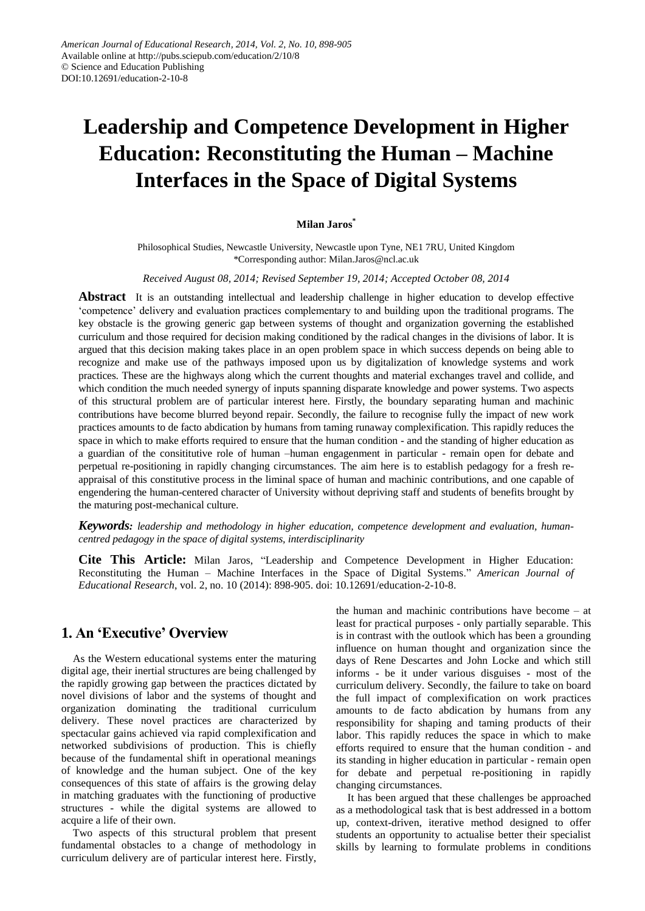# **Leadership and Competence Development in Higher Education: Reconstituting the Human – Machine Interfaces in the Space of Digital Systems**

#### **Milan Jaros\***

Philosophical Studies, Newcastle University, Newcastle upon Tyne, NE1 7RU, United Kingdom \*Corresponding author: Milan.Jaros@ncl.ac.uk

*Received August 08, 2014; Revised September 19, 2014; Accepted October 08, 2014*

**Abstract** It is an outstanding intellectual and leadership challenge in higher education to develop effective "competence" delivery and evaluation practices complementary to and building upon the traditional programs. The key obstacle is the growing generic gap between systems of thought and organization governing the established curriculum and those required for decision making conditioned by the radical changes in the divisions of labor. It is argued that this decision making takes place in an open problem space in which success depends on being able to recognize and make use of the pathways imposed upon us by digitalization of knowledge systems and work practices. These are the highways along which the current thoughts and material exchanges travel and collide, and which condition the much needed synergy of inputs spanning disparate knowledge and power systems. Two aspects of this structural problem are of particular interest here. Firstly, the boundary separating human and machinic contributions have become blurred beyond repair. Secondly, the failure to recognise fully the impact of new work practices amounts to de facto abdication by humans from taming runaway complexification. This rapidly reduces the space in which to make efforts required to ensure that the human condition - and the standing of higher education as a guardian of the consititutive role of human –human engagenment in particular - remain open for debate and perpetual re-positioning in rapidly changing circumstances. The aim here is to establish pedagogy for a fresh reappraisal of this constitutive process in the liminal space of human and machinic contributions, and one capable of engendering the human-centered character of University without depriving staff and students of benefits brought by the maturing post-mechanical culture.

*Keywords: leadership and methodology in higher education, competence development and evaluation, humancentred pedagogy in the space of digital systems, interdisciplinarity*

**Cite This Article:** Milan Jaros, "Leadership and Competence Development in Higher Education: Reconstituting the Human – Machine Interfaces in the Space of Digital Systems." *American Journal of Educational Research*, vol. 2, no. 10 (2014): 898-905. doi: 10.12691/education-2-10-8.

## **1. An 'Executive' Overview**

As the Western educational systems enter the maturing digital age, their inertial structures are being challenged by the rapidly growing gap between the practices dictated by novel divisions of labor and the systems of thought and organization dominating the traditional curriculum delivery. These novel practices are characterized by spectacular gains achieved via rapid complexification and networked subdivisions of production. This is chiefly because of the fundamental shift in operational meanings of knowledge and the human subject. One of the key consequences of this state of affairs is the growing delay in matching graduates with the functioning of productive structures - while the digital systems are allowed to acquire a life of their own.

Two aspects of this structural problem that present fundamental obstacles to a change of methodology in curriculum delivery are of particular interest here. Firstly,

the human and machinic contributions have become – at least for practical purposes - only partially separable. This is in contrast with the outlook which has been a grounding influence on human thought and organization since the days of Rene Descartes and John Locke and which still informs - be it under various disguises - most of the curriculum delivery. Secondly, the failure to take on board the full impact of complexification on work practices amounts to de facto abdication by humans from any responsibility for shaping and taming products of their labor. This rapidly reduces the space in which to make efforts required to ensure that the human condition - and its standing in higher education in particular - remain open for debate and perpetual re-positioning in rapidly changing circumstances.

It has been argued that these challenges be approached as a methodological task that is best addressed in a bottom up, context-driven, iterative method designed to offer students an opportunity to actualise better their specialist skills by learning to formulate problems in conditions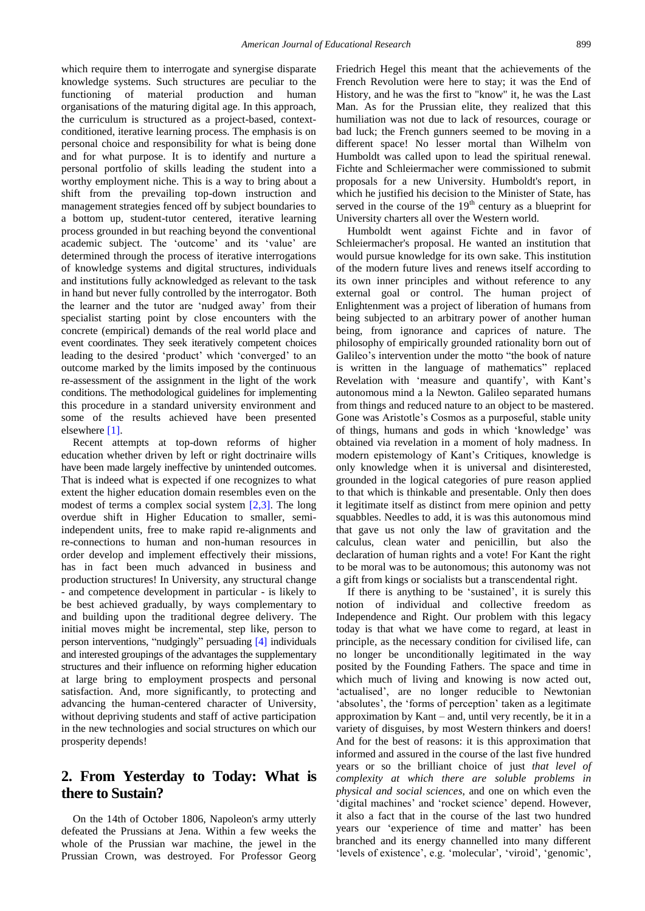which require them to interrogate and synergise disparate knowledge systems. Such structures are peculiar to the functioning of material production and human organisations of the maturing digital age. In this approach, the curriculum is structured as a project-based, contextconditioned, iterative learning process. The emphasis is on personal choice and responsibility for what is being done and for what purpose. It is to identify and nurture a personal portfolio of skills leading the student into a worthy employment niche. This is a way to bring about a shift from the prevailing top-down instruction and management strategies fenced off by subject boundaries to a bottom up, student-tutor centered, iterative learning process grounded in but reaching beyond the conventional academic subject. The 'outcome' and its 'value' are determined through the process of iterative interrogations of knowledge systems and digital structures, individuals and institutions fully acknowledged as relevant to the task in hand but never fully controlled by the interrogator. Both the learner and the tutor are "nudged away" from their specialist starting point by close encounters with the concrete (empirical) demands of the real world place and event coordinates. They seek iteratively competent choices leading to the desired 'product' which 'converged' to an outcome marked by the limits imposed by the continuous re-assessment of the assignment in the light of the work conditions. The methodological guidelines for implementing this procedure in a standard university environment and some of the results achieved have been presented elsewhere [\[1\].](#page-6-0)

Recent attempts at top-down reforms of higher education whether driven by left or right doctrinaire wills have been made largely ineffective by unintended outcomes. That is indeed what is expected if one recognizes to what extent the higher education domain resembles even on the modest of terms a complex social system [\[2,3\].](#page-6-1) The long overdue shift in Higher Education to smaller, semiindependent units, free to make rapid re-alignments and re-connections to human and non-human resources in order develop and implement effectively their missions, has in fact been much advanced in business and production structures! In University, any structural change - and competence development in particular - is likely to be best achieved gradually, by ways complementary to and building upon the traditional degree delivery. The initial moves might be incremental, step like, person to person interventions, "nudgingly" persuading [\[4\]](#page-6-2) individuals and interested groupings of the advantages the supplementary structures and their influence on reforming higher education at large bring to employment prospects and personal satisfaction. And, more significantly, to protecting and advancing the human-centered character of University, without depriving students and staff of active participation in the new technologies and social structures on which our prosperity depends!

## **2. From Yesterday to Today: What is there to Sustain?**

On the 14th of October 1806, Napoleon's army utterly defeated the Prussians at Jena. Within a few weeks the whole of the Prussian war machine, the jewel in the Prussian Crown, was destroyed. For Professor Georg Friedrich Hegel this meant that the achievements of the French Revolution were here to stay; it was the End of History, and he was the first to "know" it, he was the Last Man. As for the Prussian elite, they realized that this humiliation was not due to lack of resources, courage or bad luck; the French gunners seemed to be moving in a different space! No lesser mortal than Wilhelm von Humboldt was called upon to lead the spiritual renewal. Fichte and Schleiermacher were commissioned to submit proposals for a new University. Humboldt's report, in which he justified his decision to the Minister of State, has served in the course of the 19<sup>th</sup> century as a blueprint for University charters all over the Western world.

Humboldt went against Fichte and in favor of Schleiermacher's proposal. He wanted an institution that would pursue knowledge for its own sake. This institution of the modern future lives and renews itself according to its own inner principles and without reference to any external goal or control. The human project of Enlightenment was a project of liberation of humans from being subjected to an arbitrary power of another human being, from ignorance and caprices of nature. The philosophy of empirically grounded rationality born out of Galileo"s intervention under the motto "the book of nature is written in the language of mathematics" replaced Revelation with 'measure and quantify', with Kant's autonomous mind a la Newton. Galileo separated humans from things and reduced nature to an object to be mastered. Gone was Aristotle"s Cosmos as a purposeful, stable unity of things, humans and gods in which "knowledge" was obtained via revelation in a moment of holy madness. In modern epistemology of Kant"s Critiques, knowledge is only knowledge when it is universal and disinterested, grounded in the logical categories of pure reason applied to that which is thinkable and presentable. Only then does it legitimate itself as distinct from mere opinion and petty squabbles. Needles to add, it is was this autonomous mind that gave us not only the law of gravitation and the calculus, clean water and penicillin, but also the declaration of human rights and a vote! For Kant the right to be moral was to be autonomous; this autonomy was not a gift from kings or socialists but a transcendental right.

If there is anything to be "sustained", it is surely this notion of individual and collective freedom as Independence and Right. Our problem with this legacy today is that what we have come to regard, at least in principle, as the necessary condition for civilised life, can no longer be unconditionally legitimated in the way posited by the Founding Fathers. The space and time in which much of living and knowing is now acted out, 'actualised', are no longer reducible to Newtonian 'absolutes', the 'forms of perception' taken as a legitimate approximation by Kant – and, until very recently, be it in a variety of disguises, by most Western thinkers and doers! And for the best of reasons: it is this approximation that informed and assured in the course of the last five hundred years or so the brilliant choice of just *that level of complexity at which there are soluble problems in physical and social sciences*, and one on which even the 'digital machines' and 'rocket science' depend. However, it also a fact that in the course of the last two hundred years our 'experience of time and matter' has been branched and its energy channelled into many different 'levels of existence', e.g. 'molecular', 'viroid', 'genomic',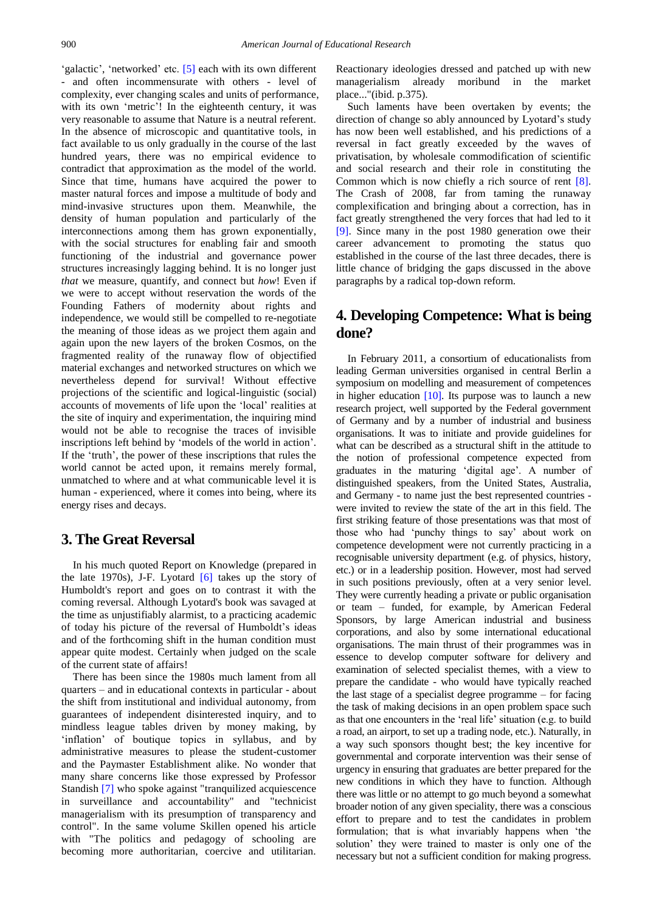'galactic', 'networked' etc. [\[5\]](#page-6-3) each with its own different - and often incommensurate with others - level of complexity, ever changing scales and units of performance, with its own 'metric'! In the eighteenth century, it was very reasonable to assume that Nature is a neutral referent. In the absence of microscopic and quantitative tools, in fact available to us only gradually in the course of the last hundred years, there was no empirical evidence to contradict that approximation as the model of the world. Since that time, humans have acquired the power to master natural forces and impose a multitude of body and mind-invasive structures upon them. Meanwhile, the density of human population and particularly of the interconnections among them has grown exponentially, with the social structures for enabling fair and smooth functioning of the industrial and governance power structures increasingly lagging behind. It is no longer just *that* we measure, quantify, and connect but *how*! Even if we were to accept without reservation the words of the Founding Fathers of modernity about rights and independence, we would still be compelled to re-negotiate the meaning of those ideas as we project them again and again upon the new layers of the broken Cosmos, on the fragmented reality of the runaway flow of objectified material exchanges and networked structures on which we nevertheless depend for survival! Without effective projections of the scientific and logical-linguistic (social) accounts of movements of life upon the "local" realities at the site of inquiry and experimentation, the inquiring mind would not be able to recognise the traces of invisible inscriptions left behind by "models of the world in action". If the 'truth', the power of these inscriptions that rules the world cannot be acted upon, it remains merely formal, unmatched to where and at what communicable level it is human - experienced, where it comes into being, where its energy rises and decays.

#### **3. The Great Reversal**

In his much quoted Report on Knowledge (prepared in the late 1970s), J-F. Lyotard  $\overline{6}$  takes up the story of Humboldt's report and goes on to contrast it with the coming reversal. Although Lyotard's book was savaged at the time as unjustifiably alarmist, to a practicing academic of today his picture of the reversal of Humboldt"s ideas and of the forthcoming shift in the human condition must appear quite modest. Certainly when judged on the scale of the current state of affairs!

There has been since the 1980s much lament from all quarters – and in educational contexts in particular - about the shift from institutional and individual autonomy, from guarantees of independent disinterested inquiry, and to mindless league tables driven by money making, by 'inflation' of boutique topics in syllabus, and by administrative measures to please the student-customer and the Paymaster Establishment alike. No wonder that many share concerns like those expressed by Professor Standish [\[7\]](#page-6-5) who spoke against "tranquilized acquiescence in surveillance and accountability" and "technicist managerialism with its presumption of transparency and control". In the same volume Skillen opened his article with "The politics and pedagogy of schooling are becoming more authoritarian, coercive and utilitarian. Reactionary ideologies dressed and patched up with new managerialism already moribund in the market place..."(ibid. p.375).

Such laments have been overtaken by events; the direction of change so ably announced by Lyotard's study has now been well established, and his predictions of a reversal in fact greatly exceeded by the waves of privatisation, by wholesale commodification of scientific and social research and their role in constituting the Common which is now chiefly a rich source of rent [\[8\].](#page-6-6) The Crash of 2008, far from taming the runaway complexification and bringing about a correction, has in fact greatly strengthened the very forces that had led to it [\[9\].](#page-6-7) Since many in the post 1980 generation owe their career advancement to promoting the status quo established in the course of the last three decades, there is little chance of bridging the gaps discussed in the above paragraphs by a radical top-down reform.

# **4. Developing Competence: What is being done?**

In February 2011, a consortium of educationalists from leading German universities organised in central Berlin a symposium on modelling and measurement of competences in higher education [\[10\].](#page-6-8) Its purpose was to launch a new research project, well supported by the Federal government of Germany and by a number of industrial and business organisations. It was to initiate and provide guidelines for what can be described as a structural shift in the attitude to the notion of professional competence expected from graduates in the maturing "digital age". A number of distinguished speakers, from the United States, Australia, and Germany - to name just the best represented countries were invited to review the state of the art in this field. The first striking feature of those presentations was that most of those who had "punchy things to say" about work on competence development were not currently practicing in a recognisable university department (e.g. of physics, history, etc.) or in a leadership position. However, most had served in such positions previously, often at a very senior level. They were currently heading a private or public organisation or team – funded, for example, by American Federal Sponsors, by large American industrial and business corporations, and also by some international educational organisations. The main thrust of their programmes was in essence to develop computer software for delivery and examination of selected specialist themes, with a view to prepare the candidate - who would have typically reached the last stage of a specialist degree programme – for facing the task of making decisions in an open problem space such as that one encounters in the "real life" situation (e.g. to build a road, an airport, to set up a trading node, etc.). Naturally, in a way such sponsors thought best; the key incentive for governmental and corporate intervention was their sense of urgency in ensuring that graduates are better prepared for the new conditions in which they have to function. Although there was little or no attempt to go much beyond a somewhat broader notion of any given speciality, there was a conscious effort to prepare and to test the candidates in problem formulation; that is what invariably happens when "the solution" they were trained to master is only one of the necessary but not a sufficient condition for making progress.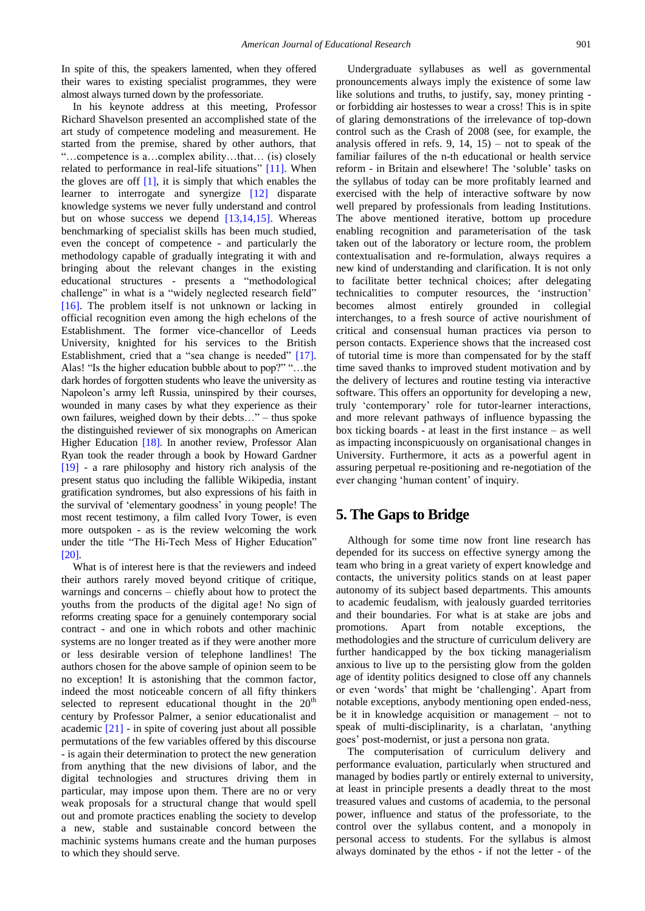In spite of this, the speakers lamented, when they offered their wares to existing specialist programmes, they were almost always turned down by the professoriate.

In his keynote address at this meeting, Professor Richard Shavelson presented an accomplished state of the art study of competence modeling and measurement. He started from the premise, shared by other authors, that "…competence is a…complex ability…that… (is) closely related to performance in real-life situations" [\[11\].](#page-6-9) When the gloves are off  $[1]$ , it is simply that which enables the learner to interrogate and synergize [\[12\]](#page-6-10) disparate knowledge systems we never fully understand and control but on whose success we depend  $[13,14,15]$ . Whereas benchmarking of specialist skills has been much studied, even the concept of competence - and particularly the methodology capable of gradually integrating it with and bringing about the relevant changes in the existing educational structures - presents a "methodological challenge" in what is a "widely neglected research field" [\[16\].](#page-7-0) The problem itself is not unknown or lacking in official recognition even among the high echelons of the Establishment. The former vice-chancellor of Leeds University, knighted for his services to the British Establishment, cried that a "sea change is needed" [\[17\].](#page-7-1) Alas! "Is the higher education bubble about to pop?" "…the dark hordes of forgotten students who leave the university as Napoleon's army left Russia, uninspired by their courses, wounded in many cases by what they experience as their own failures, weighed down by their debts…" – thus spoke the distinguished reviewer of six monographs on American Higher Education [\[18\].](#page-7-2) In another review, Professor Alan Ryan took the reader through a book by Howard Gardner [\[19\]](#page-7-3) - a rare philosophy and history rich analysis of the present status quo including the fallible Wikipedia, instant gratification syndromes, but also expressions of his faith in the survival of "elementary goodness" in young people! The most recent testimony, a film called Ivory Tower, is even more outspoken - as is the review welcoming the work under the title "The Hi-Tech Mess of Higher Education" [\[20\].](#page-7-4)

What is of interest here is that the reviewers and indeed their authors rarely moved beyond critique of critique, warnings and concerns – chiefly about how to protect the youths from the products of the digital age! No sign of reforms creating space for a genuinely contemporary social contract - and one in which robots and other machinic systems are no longer treated as if they were another more or less desirable version of telephone landlines! The authors chosen for the above sample of opinion seem to be no exception! It is astonishing that the common factor, indeed the most noticeable concern of all fifty thinkers selected to represent educational thought in the  $20<sup>th</sup>$ century by Professor Palmer, a senior educationalist and academic [\[21\]](#page-7-5) - in spite of covering just about all possible permutations of the few variables offered by this discourse - is again their determination to protect the new generation from anything that the new divisions of labor, and the digital technologies and structures driving them in particular, may impose upon them. There are no or very weak proposals for a structural change that would spell out and promote practices enabling the society to develop a new, stable and sustainable concord between the machinic systems humans create and the human purposes to which they should serve.

Undergraduate syllabuses as well as governmental pronouncements always imply the existence of some law like solutions and truths, to justify, say, money printing or forbidding air hostesses to wear a cross! This is in spite of glaring demonstrations of the irrelevance of top-down control such as the Crash of 2008 (see, for example, the analysis offered in refs. 9,  $14$ ,  $15$ ) – not to speak of the familiar failures of the n-th educational or health service reform - in Britain and elsewhere! The "soluble" tasks on the syllabus of today can be more profitably learned and exercised with the help of interactive software by now well prepared by professionals from leading Institutions. The above mentioned iterative, bottom up procedure enabling recognition and parameterisation of the task taken out of the laboratory or lecture room, the problem contextualisation and re-formulation, always requires a new kind of understanding and clarification. It is not only to facilitate better technical choices; after delegating technicalities to computer resources, the "instruction" becomes almost entirely grounded in collegial interchanges, to a fresh source of active nourishment of critical and consensual human practices via person to person contacts. Experience shows that the increased cost of tutorial time is more than compensated for by the staff time saved thanks to improved student motivation and by the delivery of lectures and routine testing via interactive software. This offers an opportunity for developing a new, truly "contemporary" role for tutor-learner interactions, and more relevant pathways of influence bypassing the box ticking boards - at least in the first instance – as well as impacting inconspicuously on organisational changes in University. Furthermore, it acts as a powerful agent in assuring perpetual re-positioning and re-negotiation of the ever changing "human content" of inquiry.

#### **5. The Gaps to Bridge**

Although for some time now front line research has depended for its success on effective synergy among the team who bring in a great variety of expert knowledge and contacts, the university politics stands on at least paper autonomy of its subject based departments. This amounts to academic feudalism, with jealously guarded territories and their boundaries. For what is at stake are jobs and promotions. Apart from notable exceptions, the methodologies and the structure of curriculum delivery are further handicapped by the box ticking managerialism anxious to live up to the persisting glow from the golden age of identity politics designed to close off any channels or even "words" that might be "challenging". Apart from notable exceptions, anybody mentioning open ended-ness, be it in knowledge acquisition or management – not to speak of multi-disciplinarity, is a charlatan, "anything goes" post-modernist, or just a persona non grata.

The computerisation of curriculum delivery and performance evaluation, particularly when structured and managed by bodies partly or entirely external to university, at least in principle presents a deadly threat to the most treasured values and customs of academia, to the personal power, influence and status of the professoriate, to the control over the syllabus content, and a monopoly in personal access to students. For the syllabus is almost always dominated by the ethos - if not the letter - of the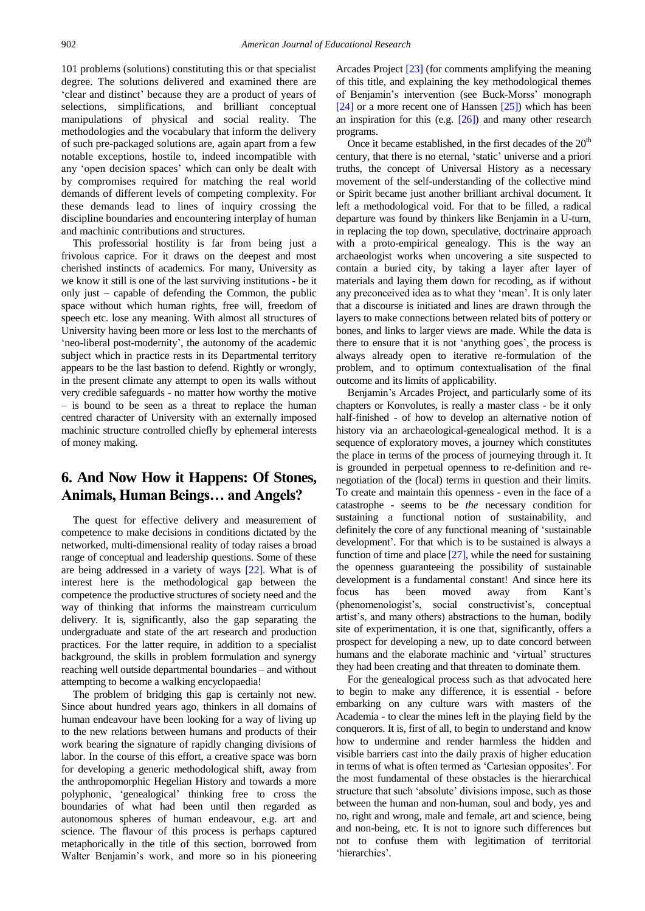101 problems (solutions) constituting this or that specialist degree. The solutions delivered and examined there are "clear and distinct" because they are a product of years of selections, simplifications, and brilliant conceptual manipulations of physical and social reality. The methodologies and the vocabulary that inform the delivery of such pre-packaged solutions are, again apart from a few notable exceptions, hostile to, indeed incompatible with any 'open decision spaces' which can only be dealt with by compromises required for matching the real world demands of different levels of competing complexity. For these demands lead to lines of inquiry crossing the discipline boundaries and encountering interplay of human and machinic contributions and structures.

This professorial hostility is far from being just a frivolous caprice. For it draws on the deepest and most cherished instincts of academics. For many, University as we know it still is one of the last surviving institutions - be it only just – capable of defending the Common, the public space without which human rights, free will, freedom of speech etc. lose any meaning. With almost all structures of University having been more or less lost to the merchants of 'neo-liberal post-modernity', the autonomy of the academic subject which in practice rests in its Departmental territory appears to be the last bastion to defend. Rightly or wrongly, in the present climate any attempt to open its walls without very credible safeguards - no matter how worthy the motive – is bound to be seen as a threat to replace the human centred character of University with an externally imposed machinic structure controlled chiefly by ephemeral interests of money making.

## **6. And Now How it Happens: Of Stones, Animals, Human Beings… and Angels?**

The quest for effective delivery and measurement of competence to make decisions in conditions dictated by the networked, multi-dimensional reality of today raises a broad range of conceptual and leadership questions. Some of these are being addressed in a variety of ways [\[22\].](#page-7-6) What is of interest here is the methodological gap between the competence the productive structures of society need and the way of thinking that informs the mainstream curriculum delivery. It is, significantly, also the gap separating the undergraduate and state of the art research and production practices. For the latter require, in addition to a specialist background, the skills in problem formulation and synergy reaching well outside departmental boundaries – and without attempting to become a walking encyclopaedia!

The problem of bridging this gap is certainly not new. Since about hundred years ago, thinkers in all domains of human endeavour have been looking for a way of living up to the new relations between humans and products of their work bearing the signature of rapidly changing divisions of labor. In the course of this effort, a creative space was born for developing a generic methodological shift, away from the anthropomorphic Hegelian History and towards a more polyphonic, "genealogical" thinking free to cross the boundaries of what had been until then regarded as autonomous spheres of human endeavour, e.g. art and science. The flavour of this process is perhaps captured metaphorically in the title of this section, borrowed from Walter Benjamin"s work, and more so in his pioneering Arcades Projec[t \[23\]](#page-7-7) (for comments amplifying the meaning of this title, and explaining the key methodological themes of Benjamin"s intervention (see Buck-Morss" monograph [\[24\]](#page-7-8) or a more recent one of Hanssen [\[25\]\)](#page-7-9) which has been an inspiration for this (e.g. [\[26\]\)](#page-7-10) and many other research programs.

Once it became established, in the first decades of the  $20<sup>th</sup>$ century, that there is no eternal, "static" universe and a priori truths, the concept of Universal History as a necessary movement of the self-understanding of the collective mind or Spirit became just another brilliant archival document. It left a methodological void. For that to be filled, a radical departure was found by thinkers like Benjamin in a U-turn, in replacing the top down, speculative, doctrinaire approach with a proto-empirical genealogy. This is the way an archaeologist works when uncovering a site suspected to contain a buried city, by taking a layer after layer of materials and laying them down for recoding, as if without any preconceived idea as to what they "mean". It is only later that a discourse is initiated and lines are drawn through the layers to make connections between related bits of pottery or bones, and links to larger views are made. While the data is there to ensure that it is not "anything goes", the process is always already open to iterative re-formulation of the problem, and to optimum contextualisation of the final outcome and its limits of applicability.

Benjamin's Arcades Project, and particularly some of its chapters or Konvolutes, is really a master class - be it only half-finished - of how to develop an alternative notion of history via an archaeological-genealogical method. It is a sequence of exploratory moves, a journey which constitutes the place in terms of the process of journeying through it. It is grounded in perpetual openness to re-definition and renegotiation of the (local) terms in question and their limits. To create and maintain this openness - even in the face of a catastrophe - seems to be *the* necessary condition for sustaining a functional notion of sustainability, and definitely the core of any functional meaning of "sustainable development'. For that which is to be sustained is always a function of time and place  $[27]$ , while the need for sustaining the openness guaranteeing the possibility of sustainable development is a fundamental constant! And since here its focus has been moved away from Kant"s (phenomenologist's, social constructivist's, conceptual artist's, and many others) abstractions to the human, bodily site of experimentation, it is one that, significantly, offers a prospect for developing a new, up to date concord between humans and the elaborate machinic and 'virtual' structures they had been creating and that threaten to dominate them.

For the genealogical process such as that advocated here to begin to make any difference, it is essential - before embarking on any culture wars with masters of the Academia - to clear the mines left in the playing field by the conquerors. It is, first of all, to begin to understand and know how to undermine and render harmless the hidden and visible barriers cast into the daily praxis of higher education in terms of what is often termed as "Cartesian opposites". For the most fundamental of these obstacles is the hierarchical structure that such 'absolute' divisions impose, such as those between the human and non-human, soul and body, yes and no, right and wrong, male and female, art and science, being and non-being, etc. It is not to ignore such differences but not to confuse them with legitimation of territorial 'hierarchies'.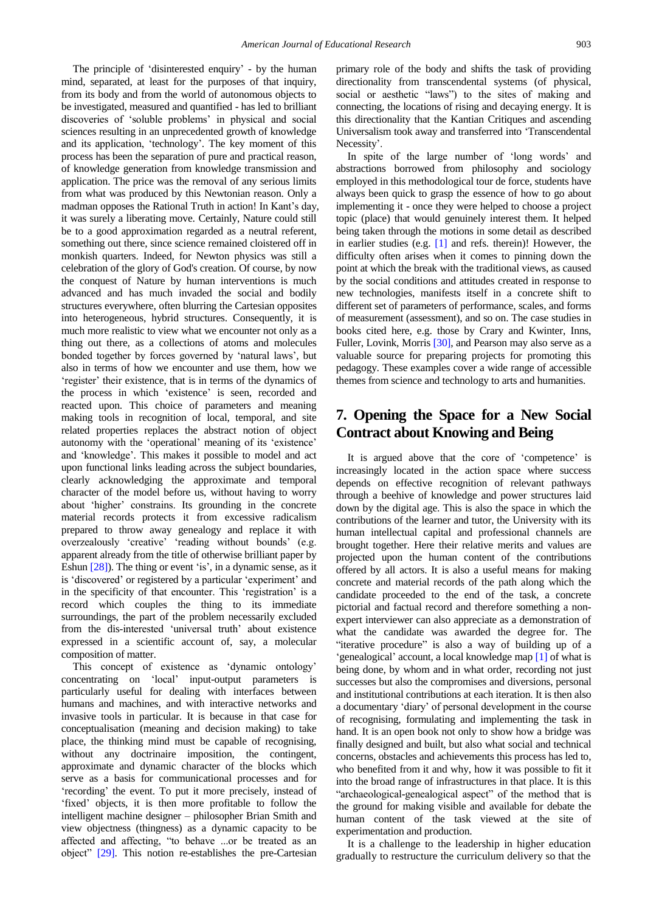The principle of 'disinterested enquiry' - by the human mind, separated, at least for the purposes of that inquiry, from its body and from the world of autonomous objects to be investigated, measured and quantified - has led to brilliant discoveries of "soluble problems" in physical and social sciences resulting in an unprecedented growth of knowledge and its application, "technology". The key moment of this process has been the separation of pure and practical reason, of knowledge generation from knowledge transmission and application. The price was the removal of any serious limits from what was produced by this Newtonian reason. Only a madman opposes the Rational Truth in action! In Kant's day, it was surely a liberating move. Certainly, Nature could still be to a good approximation regarded as a neutral referent, something out there, since science remained cloistered off in monkish quarters. Indeed, for Newton physics was still a celebration of the glory of God's creation. Of course, by now the conquest of Nature by human interventions is much advanced and has much invaded the social and bodily structures everywhere, often blurring the Cartesian opposites into heterogeneous, hybrid structures. Consequently, it is much more realistic to view what we encounter not only as a thing out there, as a collections of atoms and molecules bonded together by forces governed by "natural laws", but also in terms of how we encounter and use them, how we "register" their existence, that is in terms of the dynamics of the process in which 'existence' is seen, recorded and reacted upon. This choice of parameters and meaning making tools in recognition of local, temporal, and site related properties replaces the abstract notion of object autonomy with the "operational" meaning of its "existence" and "knowledge". This makes it possible to model and act upon functional links leading across the subject boundaries, clearly acknowledging the approximate and temporal character of the model before us, without having to worry about "higher" constrains. Its grounding in the concrete material records protects it from excessive radicalism prepared to throw away genealogy and replace it with overzealously "creative" "reading without bounds" (e.g. apparent already from the title of otherwise brilliant paper by Eshun  $[28]$ ). The thing or event 'is', in a dynamic sense, as it is "discovered" or registered by a particular "experiment" and in the specificity of that encounter. This 'registration' is a record which couples the thing to its immediate surroundings, the part of the problem necessarily excluded from the dis-interested 'universal truth' about existence expressed in a scientific account of, say, a molecular composition of matter.

This concept of existence as 'dynamic ontology' concentrating on "local" input-output parameters is particularly useful for dealing with interfaces between humans and machines, and with interactive networks and invasive tools in particular. It is because in that case for conceptualisation (meaning and decision making) to take place, the thinking mind must be capable of recognising, without any doctrinaire imposition, the contingent, approximate and dynamic character of the blocks which serve as a basis for communicational processes and for 'recording' the event. To put it more precisely, instead of "fixed" objects, it is then more profitable to follow the intelligent machine designer – philosopher Brian Smith and view objectness (thingness) as a dynamic capacity to be affected and affecting, "to behave ...or be treated as an object" [\[29\].](#page-7-13) This notion re-establishes the pre-Cartesian primary role of the body and shifts the task of providing directionality from transcendental systems (of physical, social or aesthetic "laws") to the sites of making and connecting, the locations of rising and decaying energy. It is this directionality that the Kantian Critiques and ascending Universalism took away and transferred into "Transcendental Necessity'.

In spite of the large number of "long words" and abstractions borrowed from philosophy and sociology employed in this methodological tour de force, students have always been quick to grasp the essence of how to go about implementing it - once they were helped to choose a project topic (place) that would genuinely interest them. It helped being taken through the motions in some detail as described in earlier studies (e.g. [\[1\]](#page-6-0) and refs. therein)! However, the difficulty often arises when it comes to pinning down the point at which the break with the traditional views, as caused by the social conditions and attitudes created in response to new technologies, manifests itself in a concrete shift to different set of parameters of performance, scales, and forms of measurement (assessment), and so on. The case studies in books cited here, e.g. those by Crary and Kwinter, Inns, Fuller, Lovink, Morris [\[30\],](#page-7-14) and Pearson may also serve as a valuable source for preparing projects for promoting this pedagogy. These examples cover a wide range of accessible themes from science and technology to arts and humanities.

# **7. Opening the Space for a New Social Contract about Knowing and Being**

It is argued above that the core of 'competence' is increasingly located in the action space where success depends on effective recognition of relevant pathways through a beehive of knowledge and power structures laid down by the digital age. This is also the space in which the contributions of the learner and tutor, the University with its human intellectual capital and professional channels are brought together. Here their relative merits and values are projected upon the human content of the contributions offered by all actors. It is also a useful means for making concrete and material records of the path along which the candidate proceeded to the end of the task, a concrete pictorial and factual record and therefore something a nonexpert interviewer can also appreciate as a demonstration of what the candidate was awarded the degree for. The "iterative procedure" is also a way of building up of a "genealogical" account, a local knowledge map [\[1\]](#page-6-0) of what is being done, by whom and in what order, recording not just successes but also the compromises and diversions, personal and institutional contributions at each iteration. It is then also a documentary "diary" of personal development in the course of recognising, formulating and implementing the task in hand. It is an open book not only to show how a bridge was finally designed and built, but also what social and technical concerns, obstacles and achievements this process has led to, who benefited from it and why, how it was possible to fit it into the broad range of infrastructures in that place. It is this "archaeological-genealogical aspect" of the method that is the ground for making visible and available for debate the human content of the task viewed at the site of experimentation and production.

It is a challenge to the leadership in higher education gradually to restructure the curriculum delivery so that the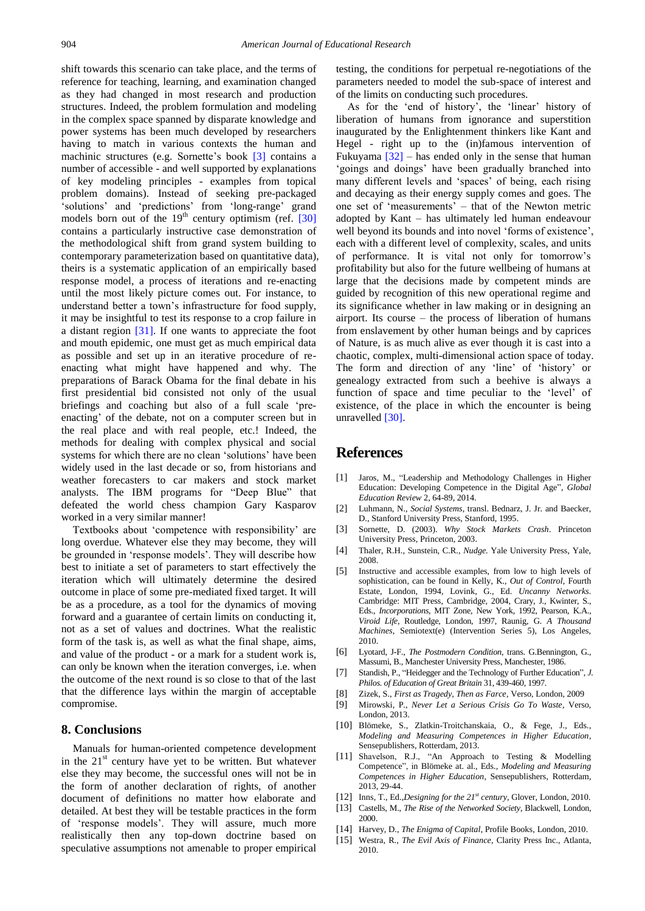shift towards this scenario can take place, and the terms of reference for teaching, learning, and examination changed as they had changed in most research and production structures. Indeed, the problem formulation and modeling in the complex space spanned by disparate knowledge and power systems has been much developed by researchers having to match in various contexts the human and machinic structures (e.g. Sornette's book [\[3\]](#page-6-12) contains a number of accessible - and well supported by explanations of key modeling principles - examples from topical problem domains). Instead of seeking pre-packaged 'solutions' and 'predictions' from 'long-range' grand models born out of the  $19<sup>th</sup>$  century optimism (ref.  $[30]$ contains a particularly instructive case demonstration of the methodological shift from grand system building to contemporary parameterization based on quantitative data), theirs is a systematic application of an empirically based response model, a process of iterations and re-enacting until the most likely picture comes out. For instance, to understand better a town"s infrastructure for food supply, it may be insightful to test its response to a crop failure in a distant region [\[31\].](#page-7-15) If one wants to appreciate the foot and mouth epidemic, one must get as much empirical data as possible and set up in an iterative procedure of reenacting what might have happened and why. The preparations of Barack Obama for the final debate in his first presidential bid consisted not only of the usual briefings and coaching but also of a full scale "preenacting' of the debate, not on a computer screen but in the real place and with real people, etc.! Indeed, the methods for dealing with complex physical and social systems for which there are no clean "solutions" have been widely used in the last decade or so, from historians and weather forecasters to car makers and stock market analysts. The IBM programs for "Deep Blue" that defeated the world chess champion Gary Kasparov worked in a very similar manner!

Textbooks about 'competence with responsibility' are long overdue. Whatever else they may become, they will be grounded in "response models". They will describe how best to initiate a set of parameters to start effectively the iteration which will ultimately determine the desired outcome in place of some pre-mediated fixed target. It will be as a procedure, as a tool for the dynamics of moving forward and a guarantee of certain limits on conducting it, not as a set of values and doctrines. What the realistic form of the task is, as well as what the final shape, aims, and value of the product - or a mark for a student work is, can only be known when the iteration converges, i.e. when the outcome of the next round is so close to that of the last that the difference lays within the margin of acceptable compromise.

#### **8. Conclusions**

Manuals for human-oriented competence development in the  $21<sup>st</sup>$  century have yet to be written. But whatever else they may become, the successful ones will not be in the form of another declaration of rights, of another document of definitions no matter how elaborate and detailed. At best they will be testable practices in the form of "response models". They will assure, much more realistically then any top-down doctrine based on speculative assumptions not amenable to proper empirical testing, the conditions for perpetual re-negotiations of the parameters needed to model the sub-space of interest and of the limits on conducting such procedures.

As for the 'end of history', the 'linear' history of liberation of humans from ignorance and superstition inaugurated by the Enlightenment thinkers like Kant and Hegel - right up to the (in)famous intervention of Fukuyama  $\left[32\right]$  – has ended only in the sense that human "goings and doings" have been gradually branched into many different levels and 'spaces' of being, each rising and decaying as their energy supply comes and goes. The one set of "measurements" – that of the Newton metric adopted by Kant – has ultimately led human endeavour well beyond its bounds and into novel "forms of existence", each with a different level of complexity, scales, and units of performance. It is vital not only for tomorrow"s profitability but also for the future wellbeing of humans at large that the decisions made by competent minds are guided by recognition of this new operational regime and its significance whether in law making or in designing an airport. Its course – the process of liberation of humans from enslavement by other human beings and by caprices of Nature, is as much alive as ever though it is cast into a chaotic, complex, multi-dimensional action space of today. The form and direction of any 'line' of 'history' or genealogy extracted from such a beehive is always a function of space and time peculiar to the 'level' of existence, of the place in which the encounter is being unravelled [\[30\].](#page-7-14)

#### **References**

- <span id="page-6-0"></span>[1] Jaros, M., "Leadership and Methodology Challenges in Higher Education: Developing Competence in the Digital Age", *Global Education Review* 2, 64-89, 2014.
- <span id="page-6-1"></span>[2] Luhmann, N., *Social Systems*, transl. Bednarz, J. Jr. and Baecker, D., Stanford University Press, Stanford, 1995.
- <span id="page-6-12"></span>[3] Sornette, D. (2003). *Why Stock Markets Crash*. Princeton University Press, Princeton, 2003.
- <span id="page-6-2"></span>[4] Thaler, R.H., Sunstein, C.R., *Nudge.* Yale University Press, Yale, 2008.
- <span id="page-6-3"></span>[5] Instructive and accessible examples, from low to high levels of sophistication, can be found in Kelly, K., *Out of Control*, Fourth Estate, London, 1994, Lovink, G., Ed. *Uncanny Networks*. Cambridge: MIT Press, Cambridge, 2004, Crary, J., Kwinter, S., Eds., *Incorporations*, MIT Zone, New York, 1992, Pearson, K.A., *Viroid Life,* Routledge, London, 1997, Raunig, G. *A Thousand Machines*, Semiotext(e) (Intervention Series 5), Los Angeles, 2010.
- <span id="page-6-4"></span>[6] Lyotard, J-F., *The Postmodern Condition*, trans. G.Bennington, G., Massumi, B., Manchester University Press, Manchester, 1986.
- <span id="page-6-5"></span>[7] Standish, P., "Heidegger and the Technology of Further Education", *J. Philos. of Education of Great Britain* 31, 439-460, 1997.
- <span id="page-6-6"></span>[8] Zizek, S., *First as Tragedy, Then as Farce,* Verso, London, 2009
- <span id="page-6-7"></span>[9] Mirowski, P., *Never Let a Serious Crisis Go To Waste,* Verso, London, 2013.
- <span id="page-6-8"></span>[10] Blömeke, S., Zlatkin-Troitchanskaia, O., & Fege, J., Eds., *Modeling and Measuring Competences in Higher Education,* Sensepublishers, Rotterdam, 2013.
- <span id="page-6-9"></span>[11] Shavelson, R.J., "An Approach to Testing & Modelling Competence", in Blömeke at. al., Eds., *Modeling and Measuring Competences in Higher Education,* Sensepublishers, Rotterdam, 2013, 29-44.
- <span id="page-6-10"></span>[12] Inns, T., Ed.,*Designing for the 21st century,* Glover, London, 2010.
- <span id="page-6-11"></span>[13] Castells, M., *The Rise of the Networked Society*, Blackwell, London, 2000.
- [14] Harvey, D., *The Enigma of Capital*, Profile Books, London, 2010.
- [15] Westra, R., *The Evil Axis of Finance*, Clarity Press Inc., Atlanta, 2010.